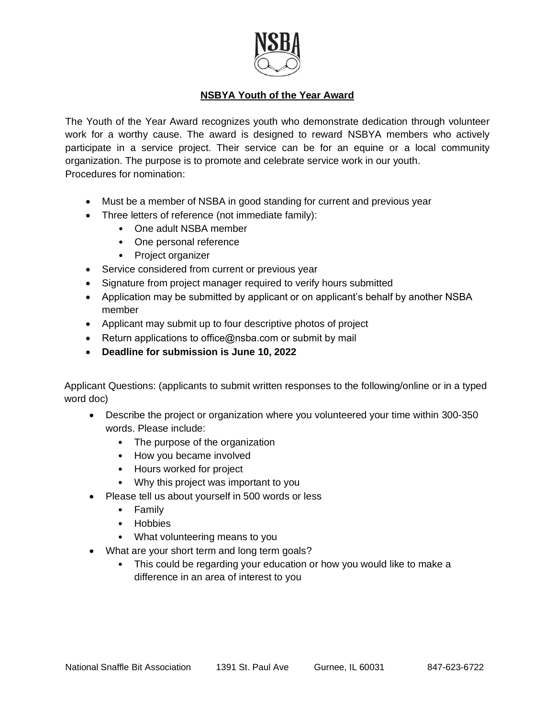

# **NSBYA Youth of the Year Award**

The Youth of the Year Award recognizes youth who demonstrate dedication through volunteer work for a worthy cause. The award is designed to reward NSBYA members who actively participate in a service project. Their service can be for an equine or a local community organization. The purpose is to promote and celebrate service work in our youth. Procedures for nomination:

- Must be a member of NSBA in good standing for current and previous year
- Three letters of reference (not immediate family):
	- One adult NSBA member
	- One personal reference
	- Project organizer
- Service considered from current or previous year
- Signature from project manager required to verify hours submitted
- Application may be submitted by applicant or on applicant's behalf by another NSBA member
- Applicant may submit up to four descriptive photos of project
- Return applications to office@nsba.com or submit by mail
- **Deadline for submission is June 10, 2022**

Applicant Questions: (applicants to submit written responses to the following/online or in a typed word doc)

- Describe the project or organization where you volunteered your time within 300-350 words. Please include:
	- The purpose of the organization
	- How you became involved
	- Hours worked for project
	- Why this project was important to you
- Please tell us about yourself in 500 words or less
	- Family
	- Hobbies
	- What volunteering means to you
- What are your short term and long term goals?
	- This could be regarding your education or how you would like to make a difference in an area of interest to you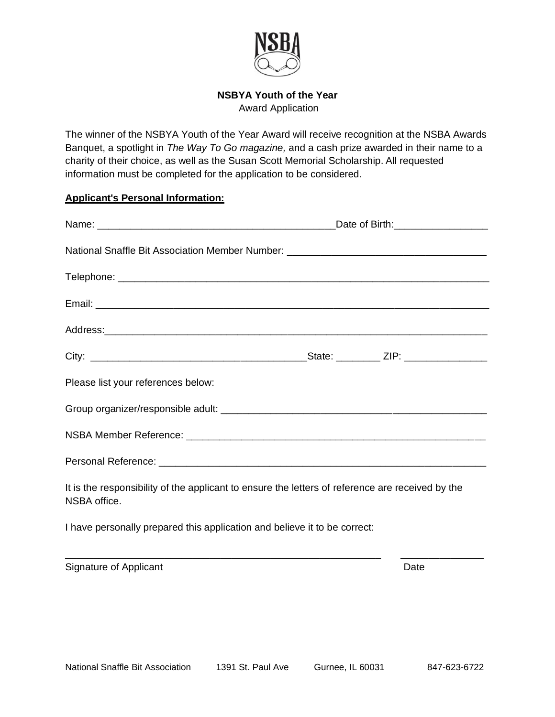

# **NSBYA Youth of the Year**

Award Application

The winner of the NSBYA Youth of the Year Award will receive recognition at the NSBA Awards Banquet, a spotlight in *The Way To Go magazine,* and a cash prize awarded in their name to a charity of their choice, as well as the Susan Scott Memorial Scholarship. All requested information must be completed for the application to be considered.

#### **Applicant's Personal Information:**

|                                                                                                                  |  | Date of Birth: __________________ |
|------------------------------------------------------------------------------------------------------------------|--|-----------------------------------|
| National Snaffle Bit Association Member Number: ________________________________                                 |  |                                   |
|                                                                                                                  |  |                                   |
|                                                                                                                  |  |                                   |
|                                                                                                                  |  |                                   |
|                                                                                                                  |  |                                   |
| Please list your references below:                                                                               |  |                                   |
|                                                                                                                  |  |                                   |
|                                                                                                                  |  |                                   |
|                                                                                                                  |  |                                   |
| It is the responsibility of the applicant to ensure the letters of reference are received by the<br>NSBA office. |  |                                   |
|                                                                                                                  |  |                                   |

I have personally prepared this application and believe it to be correct:

Signature of Applicant Date **Date**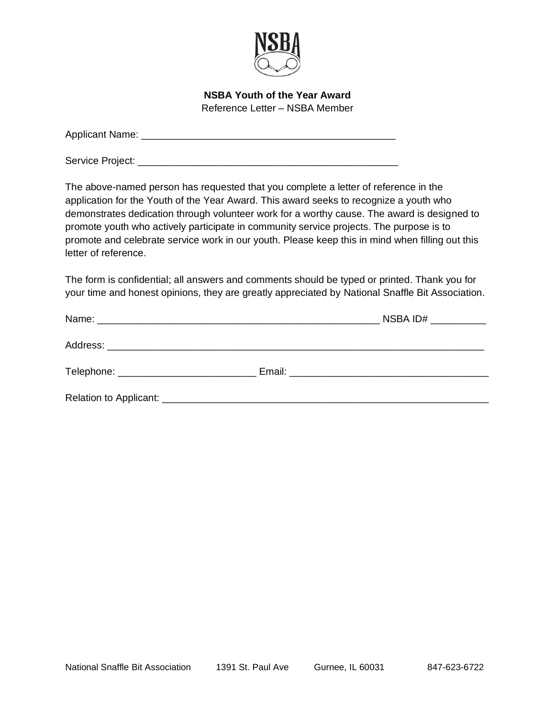

**NSBA Youth of the Year Award** Reference Letter – NSBA Member

Applicant Name: \_\_\_\_\_\_\_\_\_\_\_\_\_\_\_\_\_\_\_\_\_\_\_\_\_\_\_\_\_\_\_\_\_\_\_\_\_\_\_\_\_\_\_\_\_\_

Service Project: \_\_\_\_\_\_\_\_\_\_\_\_\_\_\_\_\_\_\_\_\_\_\_\_\_\_\_\_\_\_\_\_\_\_\_\_\_\_\_\_\_\_\_\_\_\_\_

The above-named person has requested that you complete a letter of reference in the application for the Youth of the Year Award. This award seeks to recognize a youth who demonstrates dedication through volunteer work for a worthy cause. The award is designed to promote youth who actively participate in community service projects. The purpose is to promote and celebrate service work in our youth. Please keep this in mind when filling out this letter of reference.

The form is confidential; all answers and comments should be typed or printed. Thank you for your time and honest opinions, they are greatly appreciated by National Snaffle Bit Association.

|  | NSBA ID# $\begin{array}{ccc}\n&\underline{\hspace{1.5cm}}\n\\ \underline{\hspace{1.5cm}}\n\\ \underline{\hspace{1.5cm}}\n\\ \underline{\hspace{1.5cm}}\n\\ \underline{\hspace{1.5cm}}\n\\ \underline{\hspace{1.5cm}}\n\\ \underline{\hspace{1.5cm}}\n\\ \underline{\hspace{1.5cm}}\n\\ \underline{\hspace{1.5cm}}\n\\ \underline{\hspace{1.5cm}}\n\\ \underline{\hspace{1.5cm}}\n\\ \underline{\hspace{1.5cm}}\n\\ \underline{\hspace{1.5cm}}\n\\ \underline{\hspace{1.5cm}}\n\\ \underline{\hspace{$ |
|--|-------------------------------------------------------------------------------------------------------------------------------------------------------------------------------------------------------------------------------------------------------------------------------------------------------------------------------------------------------------------------------------------------------------------------------------------------------------------------------------------------------|
|  |                                                                                                                                                                                                                                                                                                                                                                                                                                                                                                       |
|  |                                                                                                                                                                                                                                                                                                                                                                                                                                                                                                       |
|  |                                                                                                                                                                                                                                                                                                                                                                                                                                                                                                       |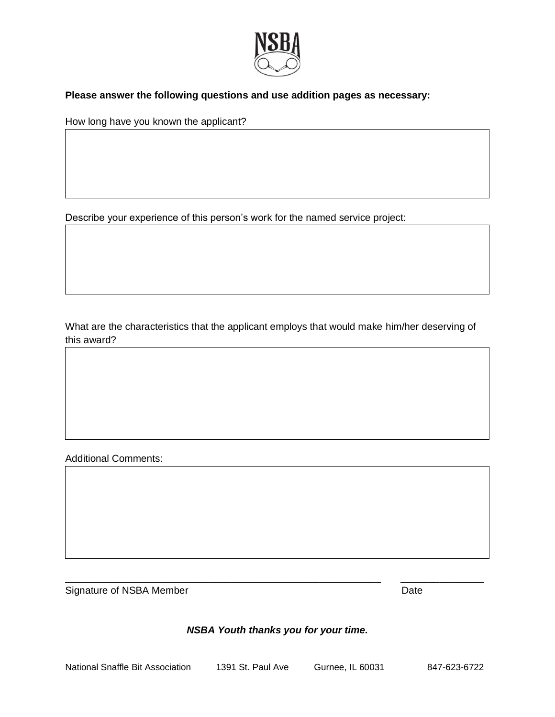

# **Please answer the following questions and use addition pages as necessary:**

How long have you known the applicant?

Describe your experience of this person's work for the named service project:

What are the characteristics that the applicant employs that would make him/her deserving of this award?

Additional Comments:

Signature of NSBA Member **Date** Date

# *NSBA Youth thanks you for your time.*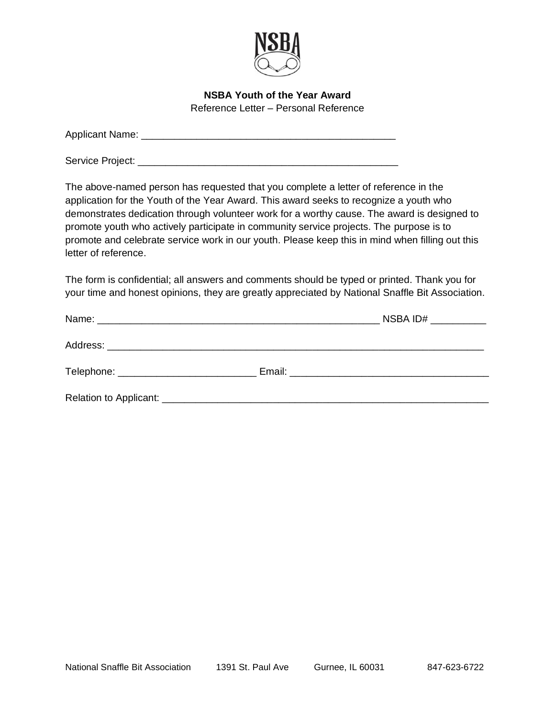

#### **NSBA Youth of the Year Award** Reference Letter – Personal Reference

| <b>Applicant Name:</b> |  |  |  |
|------------------------|--|--|--|
|                        |  |  |  |

Service Project: \_\_\_\_\_\_\_\_\_\_\_\_\_\_\_\_\_\_\_\_\_\_\_\_\_\_\_\_\_\_\_\_\_\_\_\_\_\_\_\_\_\_\_\_\_\_\_

The above-named person has requested that you complete a letter of reference in the application for the Youth of the Year Award. This award seeks to recognize a youth who demonstrates dedication through volunteer work for a worthy cause. The award is designed to promote youth who actively participate in community service projects. The purpose is to promote and celebrate service work in our youth. Please keep this in mind when filling out this letter of reference.

The form is confidential; all answers and comments should be typed or printed. Thank you for your time and honest opinions, they are greatly appreciated by National Snaffle Bit Association.

|  | NSBA ID# $\_\_\_\_\_\_\_\_\_\_\_\_\_\_\_$ |
|--|-------------------------------------------|
|  |                                           |
|  |                                           |
|  |                                           |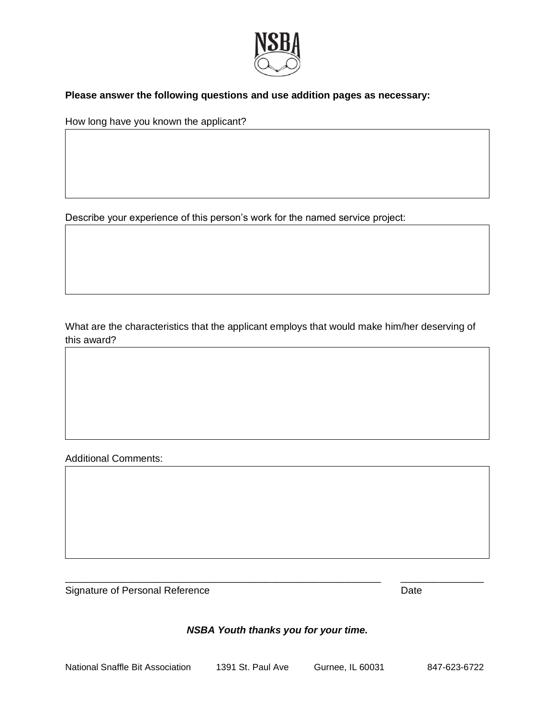

# **Please answer the following questions and use addition pages as necessary:**

How long have you known the applicant?

Describe your experience of this person's work for the named service project:

What are the characteristics that the applicant employs that would make him/her deserving of this award?

Additional Comments:

Signature of Personal Reference **Date** Date

### *NSBA Youth thanks you for your time.*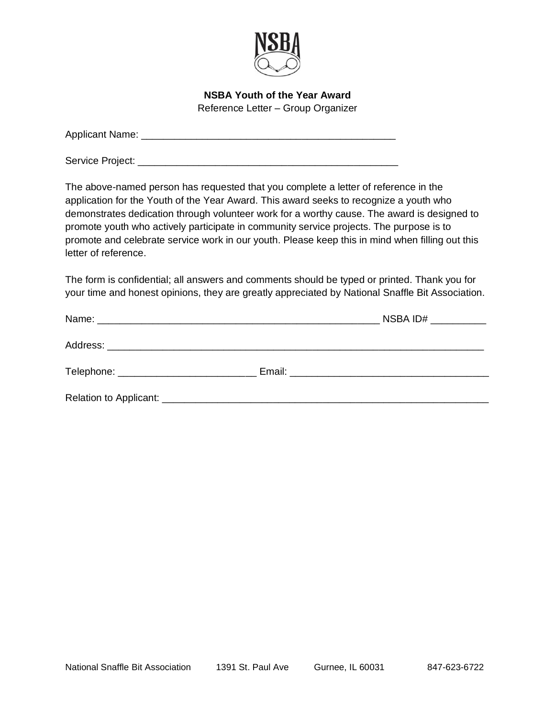

**NSBA Youth of the Year Award** Reference Letter – Group Organizer

| <b>Applicant Name:</b> |  |  |  |
|------------------------|--|--|--|
|                        |  |  |  |

Service Project: \_\_\_\_\_\_\_\_\_\_\_\_\_\_\_\_\_\_\_\_\_\_\_\_\_\_\_\_\_\_\_\_\_\_\_\_\_\_\_\_\_\_\_\_\_\_\_

The above-named person has requested that you complete a letter of reference in the application for the Youth of the Year Award. This award seeks to recognize a youth who demonstrates dedication through volunteer work for a worthy cause. The award is designed to promote youth who actively participate in community service projects. The purpose is to promote and celebrate service work in our youth. Please keep this in mind when filling out this letter of reference.

The form is confidential; all answers and comments should be typed or printed. Thank you for your time and honest opinions, they are greatly appreciated by National Snaffle Bit Association.

|                                       | NSBA ID# $\_\_\_\_\_\_\_\_\_\_\_\_\_\_\_\_$ |
|---------------------------------------|---------------------------------------------|
|                                       |                                             |
| Telephone: __________________________ |                                             |
|                                       |                                             |